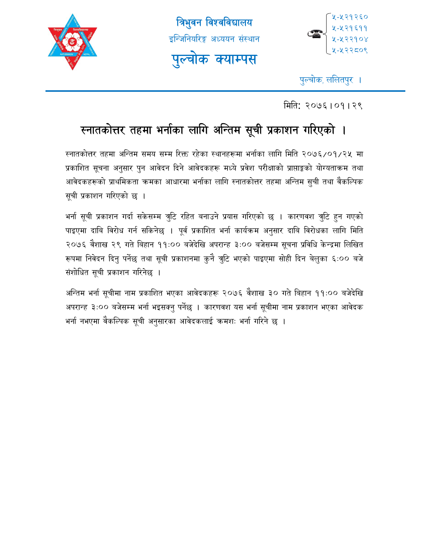





पुल्चोक, ललितपुर ।

िमित: २०७६।०१।२९

# स्नातकोत्तर तहमा भर्नाका लागि अन्तिम सूची प्रकाशन गरिएको ।

रनातकोत्तर तहमा अन्तिम समय सम्म रिक्त रहेका स्थानहरूमा भर्नाका लागि मिति २०७६/०१/२५ मा प्रकाशित सूचना अनुसार पुन आवेदन दिने आवेदकहरू मध्ये प्रवेश परीक्षाको प्राप्ताङ्को योग्यताकम तथा आवेदकहरूको प्राथमिकता कमका आधारमा भर्नाका लागि स्नातकोत्तर तहमा अन्तिम सुची तथा वैकल्पिक सूची प्रकाशन गरिएको छ ।

भर्ना सूची प्रकाशन गर्दा सकेसम्म त्रुटि रहित बनाउने प्रयास गरिएको छ । कारणवश त्रुटि हुन गएको पाइएमा दाबि विरोध गर्न सकिनेछ । पूर्व प्रकाशित भर्ना कार्यक्रम अनुसार दाबि विरोधका लागि मिति २०७६ वैशाख २९ गते बिहान ११:०० बजेदेखि अपरान्ह ३:०० बजेसम्म सूचना प्रविधि केन्द्रमा लिखित रूपमा निवेदन दिनु पर्नेछ तथा सूची प्रकाशनमा कुनै त्रुटि भएको पाइएमा सोही दिन बेलुका ६:०० बजे संशोधित सूची प्रकाशन गरिनेछ ।

अन्तिम भर्ना सूचीमा नाम प्रकाशित भएका आवेदकहरू २०७६ वैशाख ३० गते बिहान ११:०० बजेदेखि अपरान्ह ३:०० बजेसम्म भर्ना भइसक्नु पर्नेछ । कारणवश यस भर्ना सूचीमा नाम प्रकाशन भएका आवेदक भर्ना नभएमा वैकल्पिक सूची अनुसारका आवेदकलाई कमशः भर्ना गरिने छ ।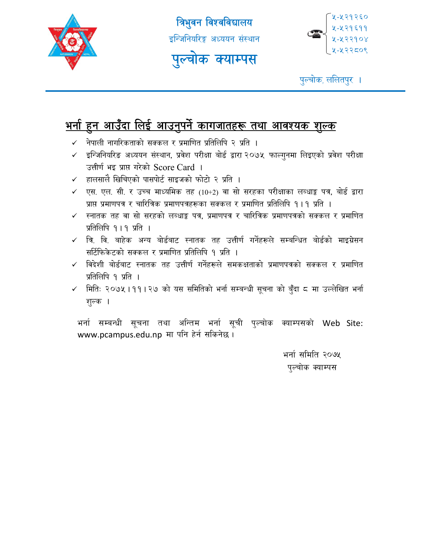

त्रिभुवन विश्वविद्यालय इन्जिनियरिङ्ग अध्ययन संस्थान पुल्चोक क्याम्पस



पुल्चोक, ललितपुर ।

#### <u>भनो हुन आउँदा लिई आउनुपर्न कागजातहरू तथा आवश्यक शुल्क</u> ु ु

- $\checkmark$  नेपाली नागरिकताको सक्कल र प्रमाणित प्रतिलिपि २ प्रति ।
- $\checkmark$  इन्जिनियरिङ अध्ययन संस्थान, प्रवेश परीक्षा बोर्ड द्वारा २०७५ फाल्गुनमा लिइएको प्रवेश परीक्षा उत्तीर्ण भइ प्राप्त गरेको Score Card ।
- $\checkmark$  हालसालै खिचिएको पासपोर्ट साइजको फोटो २ प्रति ।
- $\checkmark$  एस. एल. सी. र उच्च माध्यमिक तह (10+2) वा सो सरहका परीक्षाका लब्धाङ्क पत्र, बोर्ड द्वारा प्राप्त प्रमाणपत्र र चारित्रिक प्रमाणपत्रहरूका सक्कल र प्रमाणित प्रतिलिपि १।१ प्रति ।
- $\checkmark$  स्नातक तह वा सो सरहको लब्धाङ्क पत्र, प्रमाणपत्र र चारित्रिक प्रमाणपत्रको सक्कल र प्रमाणित प्रतिलिपि १।१ प्रति ।
- $\checkmark$  त्रि. वि. बाहेक अन्य बोर्डबाट स्नातक तह उत्तीर्ण गर्नेहरूले सम्बन्धित बोर्डको माइग्रेसन सर्टिफिकेटको सक्कल र प्रमाणित प्रतिलिपि १ प्रति ।
- $\checkmark$  विदेशी बोर्डबाट स्नातक तह उत्तीर्ण गर्नेहरूले समकक्षताको प्रमाणपत्रको सक्कल र प्रमाणित प्रतिलिपि १ प्रति ।
- $\checkmark$  मिति: २०७५।११।२७ को यस समितिको भर्ना सम्बन्धी सूचना को बुँदा ८ मा उल्लेखित भर्ना शल्क ।

भर्ना सम्बन्धी सूचना तथा अन्तिम भर्ना सूची पुल्चोक क्याम्पसको Web Site: www.pcampus.edu.np मा पनि हेर्न सकिनेछ।

> भर्ना समिति २०७५ पल्चोक क्याम्पस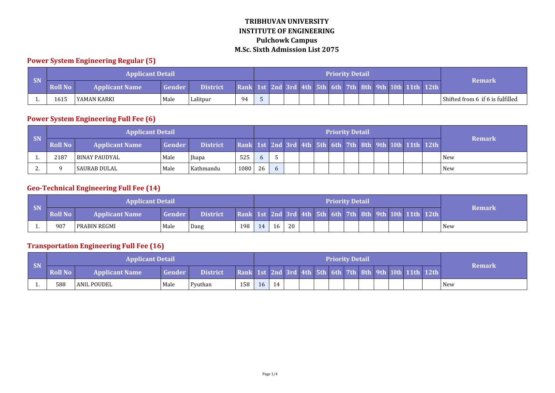#### **Power System Engineering Regular (5)**

|                             |                | <b>Applicant Detail</b> |        |                 |                                                         |  |  |  | <b>Priority Detail</b> |  |  |                                  |
|-----------------------------|----------------|-------------------------|--------|-----------------|---------------------------------------------------------|--|--|--|------------------------|--|--|----------------------------------|
| $\overline{\phantom{a}}$ SN | <b>Roll No</b> | <b>Applicant Name</b>   | Gender | <b>District</b> | Rank 1st 2nd 3rd 4th 5th 6th 7th 8th 9th 10th 11th 12th |  |  |  |                        |  |  | <b>Remark</b>                    |
| .                           | 1615           | l YAMAN KARKI           | Male   | Lalitpur        | 94                                                      |  |  |  |                        |  |  | Shifted from 6 if 6 is fulfilled |

#### **Power System Engineering Full Fee (6)**

|           |         | <b>Applicant Detail</b> |        |                 |      |    |  |  | <b>Priority Detail</b> |  |  |                                                         |            |
|-----------|---------|-------------------------|--------|-----------------|------|----|--|--|------------------------|--|--|---------------------------------------------------------|------------|
| <b>SN</b> | Roll No | <b>Applicant Name</b>   | Gender | <i>District</i> |      |    |  |  |                        |  |  | Rank 1st 2nd 3rd 4th 5th 6th 7th 8th 9th 10th 11th 12th | Remark     |
|           | 2187    | l BINAY PAUDYAL         | Male   | <b>Ihapa</b>    | 525  |    |  |  |                        |  |  |                                                         | <b>New</b> |
| <u>.</u>  |         | l SAURAB DULAL          | Male   | l Kathmandu     | 1080 | 26 |  |  |                        |  |  |                                                         | <b>New</b> |

## **Geo-Technical Engineering Full Fee (14)**

|           |         | <b>Applicant Detail</b> |        |                 |          |    |    |    |  | <b>Priority Detail</b> |  |  |                                                |        |
|-----------|---------|-------------------------|--------|-----------------|----------|----|----|----|--|------------------------|--|--|------------------------------------------------|--------|
| <b>SN</b> | Roll No | 'Applicant Name         | Gender | <b>District</b> | Rank 1st |    |    |    |  |                        |  |  | 2nd 3rd 4th 5th 6th 7th 8th 9th 10th 11th 12th | Remark |
|           | 907     | l PRABIN REGMI          | Male   | Dang            | 198      | 14 | 16 | 20 |  |                        |  |  |                                                | New    |

## **Transportation Engineering Full Fee (16)**

|           |                | <b>Applicant Detail</b> |               |                 |                                                         |    |    |  | <b>Priority Detail</b> |  |  |  |               |
|-----------|----------------|-------------------------|---------------|-----------------|---------------------------------------------------------|----|----|--|------------------------|--|--|--|---------------|
| <b>SN</b> | <b>Roll No</b> | <b>Applicant Name</b>   | <b>Gender</b> | <b>District</b> | Rank 1st 2nd 3rd 4th 5th 6th 7th 8th 9th 10th 11th 12th |    |    |  |                        |  |  |  | <b>Remark</b> |
|           | 588            | <b>JANIL POUDEL</b>     | Male          | Pyuthan         | 158                                                     | 16 | 14 |  |                        |  |  |  | New           |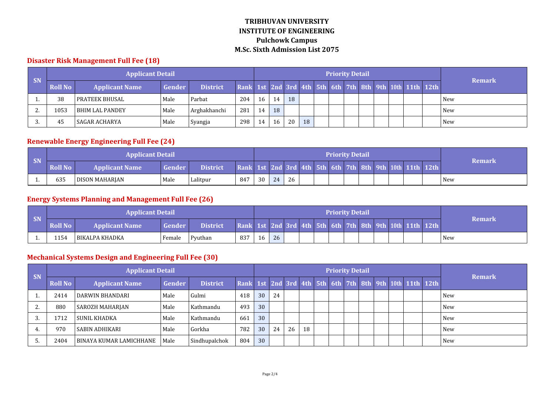### **Disaster Risk Management Full Fee (18)**

|           |                | <b>Applicant Detail</b> |        |                 |                                                         |    |    |    |    | <b>Priority Detail</b> |  |  |  | <b>Remark</b> |
|-----------|----------------|-------------------------|--------|-----------------|---------------------------------------------------------|----|----|----|----|------------------------|--|--|--|---------------|
| <b>SN</b> | <b>Roll No</b> | <b>Applicant Name</b>   | Gender | <b>District</b> | Rank 1st 2nd 3rd 4th 5th 6th 7th 8th 9th 10th 11th 12th |    |    |    |    |                        |  |  |  |               |
|           | 38             | l prateek bhusal        | Male   | Parbat          | 204                                                     | 16 | 14 | 18 |    |                        |  |  |  | New           |
| Ζ.        | 1053           | <b>BHIM LAL PANDEY</b>  | Male   | Arghakhanchi    | 281                                                     | 14 | 18 |    |    |                        |  |  |  | New           |
|           | 45             | <b>SAGAR ACHARYA</b>    | Male   | Syangja         | 298                                                     | 14 | 16 | 20 | 18 |                        |  |  |  | <b>New</b>    |

## **Renewable Energy Engineering Full Fee (24)**

| <b>CM</b> |         | <b>Applicant Detail</b> |        |                 |                                                         |    |    |    |  | <b>Priority Detail</b> |  |  |  |            |
|-----------|---------|-------------------------|--------|-----------------|---------------------------------------------------------|----|----|----|--|------------------------|--|--|--|------------|
| - SN      | Roll No | <b>Applicant Name</b>   | Gender | <b>District</b> | Rank 1st 2nd 3rd 4th 5th 6th 7th 8th 9th 10th 11th 12th |    |    |    |  |                        |  |  |  | Remark     |
|           | 635     | DISON MAHARJAN          | Male   | Lalitpur        | 847                                                     | 30 | 24 | 26 |  |                        |  |  |  | <b>New</b> |

#### **Energy Systems Planning and Management Full Fee (26)**

| <b>CD</b> |         | <b>Applicant Detail</b> |               |                 |                                                         |    |    |  | <b>Priority Detail</b> |  |  |  |               |
|-----------|---------|-------------------------|---------------|-----------------|---------------------------------------------------------|----|----|--|------------------------|--|--|--|---------------|
| - 21/     | Roll No | <b>Applicant Name</b>   | <b>Gender</b> | <b>District</b> | Rank 1st 2nd 3rd 4th 5th 6th 7th 8th 9th 10th 11th 12th |    |    |  |                        |  |  |  | <b>Remark</b> |
|           | 1154    | BIKALPA KHADKA          | 'Female       | Pyuthan         | 837                                                     | 16 | 26 |  |                        |  |  |  | New           |

## **Mechanical Systems Design and Engineering Full Fee (30)**

|    |                | <b>Applicant Detail</b> |        |                 |     |                 |    |    |    |  | <b>Priority Detail</b> |  |  |                                                         |               |
|----|----------------|-------------------------|--------|-----------------|-----|-----------------|----|----|----|--|------------------------|--|--|---------------------------------------------------------|---------------|
| SN | <b>Roll No</b> | <b>Applicant Name</b>   | Gender | <b>District</b> |     |                 |    |    |    |  |                        |  |  | Rank 1st 2nd 3rd 4th 5th 6th 7th 8th 9th 10th 11th 12th | <b>Remark</b> |
|    | 2414           | DARWIN BHANDARI         | Male   | Gulmi           | 418 | 30              | 24 |    |    |  |                        |  |  |                                                         | <b>New</b>    |
|    | 880            | SAROZH MAHARJAN         | Male   | Kathmandu       | 493 | 30              |    |    |    |  |                        |  |  |                                                         | New           |
|    | 1712           | <b>SUNIL KHADKA</b>     | Male   | Kathmandu       | 661 | 30              |    |    |    |  |                        |  |  |                                                         | New           |
|    | 970            | SABIN ADHIKARI          | Male   | Gorkha          | 782 | 30              | 24 | 26 | 18 |  |                        |  |  |                                                         | New           |
|    | 2404           | BINAYA KUMAR LAMICHHANE | Male   | Sindhupalchok   | 804 | 30 <sup>°</sup> |    |    |    |  |                        |  |  |                                                         | <b>New</b>    |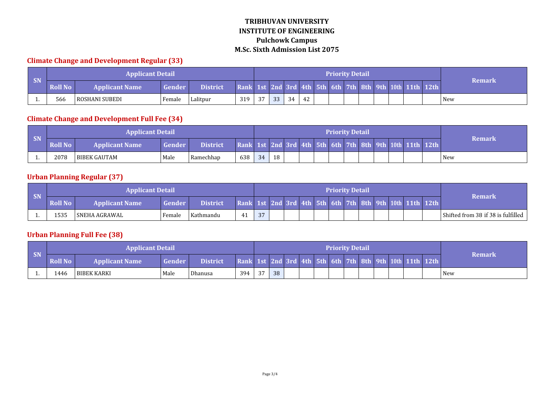#### **Climate Change and Development Regular (33)**

|           |                | <b>Applicant Detail</b> |        |                 |     |     |    |    |    |  | <b>Priority Detail</b> |  |                                                         |        |
|-----------|----------------|-------------------------|--------|-----------------|-----|-----|----|----|----|--|------------------------|--|---------------------------------------------------------|--------|
| <b>SN</b> | <b>Roll No</b> | <b>Applicant Name</b>   | Gender | <b>District</b> |     |     |    |    |    |  |                        |  | Rank 1st 2nd 3rd 4th 5th 6th 7th 8th 9th 10th 11th 12th | Remark |
|           | 566            | l ROSHANI SUBEDI        | Female | Lalitpur        | 319 | .37 | 33 | 34 | 42 |  |                        |  |                                                         | New    |

## **Climate Change and Development Full Fee (34)**

| <b>SN</b> |                | <b>Applicant Detail</b> |        |                 |                                                         |    |    |  |  | <b>Priority Detail</b> |  |  |               |
|-----------|----------------|-------------------------|--------|-----------------|---------------------------------------------------------|----|----|--|--|------------------------|--|--|---------------|
|           | <b>Roll No</b> | <b>Applicant Name</b>   | Gender | <b>District</b> | Rank 1st 2nd 3rd 4th 5th 6th 7th 8th 9th 10th 11th 12th |    |    |  |  |                        |  |  | <b>Remark</b> |
| . .       | 2078           | BIBEK GAUTAM            | Male   | Ramechhap       | 638                                                     | 34 | 18 |  |  |                        |  |  | New           |

## **Urban Planning Regular (37)**

|       |                | <b>Applicant Detail</b> |        |                 |                                                         |    |  |  | <b>Priority Detail</b> |  |  |  |                                    |
|-------|----------------|-------------------------|--------|-----------------|---------------------------------------------------------|----|--|--|------------------------|--|--|--|------------------------------------|
| $-SN$ | <b>Roll No</b> | <b>Applicant Name</b> ' | Gender | <b>District</b> | Rank 1st 2nd 3rd 4th 5th 6th 7th 8th 9th 10th 11th 12th |    |  |  |                        |  |  |  | <b>Remark</b>                      |
|       | 1535           | ' SNEHA AGRAWAL         | Female | Kathmandu       | 41                                                      | 27 |  |  |                        |  |  |  | Shifted from 38 if 38 is fulfilled |

## **Urban Planning Full Fee (38)**

| SN |                | <b>Applicant Detail</b> |               |                 |                                                         |              |    |  |  | <b>Priority Detail</b> |  |  |               |
|----|----------------|-------------------------|---------------|-----------------|---------------------------------------------------------|--------------|----|--|--|------------------------|--|--|---------------|
|    | <b>Roll No</b> | <b>Applicant Name</b>   | <b>Gender</b> | <b>District</b> | Rank 1st 2nd 3rd 4th 5th 6th 7th 8th 9th 10th 11th 12th |              |    |  |  |                        |  |  | <b>Remark</b> |
| .  | 1446           | l BIBEK KARKI           | Male          | Dhanusa         | 394                                                     | $\sim$<br>31 | 38 |  |  |                        |  |  | New           |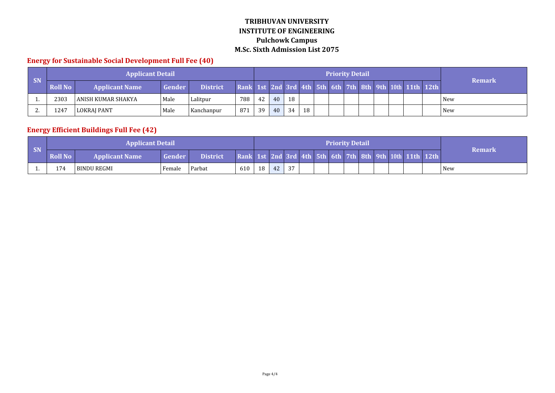#### **Energy for Sustainable Social Development Full Fee (40)**

|           |         | <b>Applicant Detail</b> |               |                 |                                                         |    |    |    |    |  | <b>Priority Detail</b> |  |  |               |
|-----------|---------|-------------------------|---------------|-----------------|---------------------------------------------------------|----|----|----|----|--|------------------------|--|--|---------------|
| <b>SN</b> | Roll No | <b>Applicant Name</b>   | <b>Gender</b> | <b>District</b> | Rank 1st 2nd 3rd 4th 5th 6th 7th 8th 9th 10th 11th 12th |    |    |    |    |  |                        |  |  | <b>Remark</b> |
|           | 2303    | l ANISH KUMAR SHAKYA.   | Male          | Lalitpur        | 788                                                     | 42 | 40 | 18 |    |  |                        |  |  | <b>New</b>    |
| <u>.</u>  | 1247    | LOKRAJ PANT             | Male          | Kanchanpur      | -871                                                    | 39 | 40 | 34 | 18 |  |                        |  |  | <b>New</b>    |

## **Energy Efficient Buildings Full Fee (42)**

|           |                | <b>Applicant Detail</b> |               |                 |                                                         |    |    |    |  | <b>Priority Detail</b> |  |  |               |
|-----------|----------------|-------------------------|---------------|-----------------|---------------------------------------------------------|----|----|----|--|------------------------|--|--|---------------|
| <b>SN</b> | <b>Roll No</b> | <b>Applicant Name</b>   | <b>Gender</b> | <b>District</b> | Rank 1st 2nd 3rd 4th 5th 6th 7th 8th 9th 10th 11th 12th |    |    |    |  |                        |  |  | <b>Remark</b> |
|           | 174            | l BINDU REGMI           | ' Female      | Parbat          | 610                                                     | 18 | 42 | 37 |  |                        |  |  | <b>New</b>    |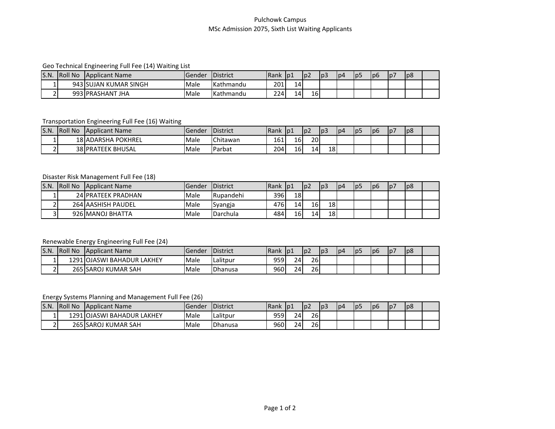#### Pulchowk Campus MSc Admission 2075, Sixth List Waiting Applicants

#### Geo Technical Engineering Full Fee (14) Waiting List

| S.N                      | <b>Roll No</b> | <b>Applicant Name</b>  | IGender | <b>District</b>    | <b>IRank</b> | p1 | l p2 | $\sim$<br>l p3 | 1p <sup>2</sup> | lp5 | Ipp | ۱p, | lp8 |  |
|--------------------------|----------------|------------------------|---------|--------------------|--------------|----|------|----------------|-----------------|-----|-----|-----|-----|--|
|                          |                | 943 SUJAN KUMAR SINGH  | Male    | <b>Kathmandu</b>   | 201          | 14 |      |                |                 |     |     |     |     |  |
| $\overline{\phantom{a}}$ |                | 993 PRASHANT.<br>' JHA | Male    | <b>I</b> Kathmandu | 224          | 14 | 16   |                |                 |     |     |     |     |  |

#### Transportation Engineering Full Fee (16) Waiting

| S.N. | <b>Roll No</b> | Applicant Name            | lGender | <b>IDistrict</b> | <b>Rank</b> | p1 | p2 | l p3 | l p4 | lp5 | lp6 | lp. | lp8 |  |
|------|----------------|---------------------------|---------|------------------|-------------|----|----|------|------|-----|-----|-----|-----|--|
|      |                | 18 ADARSHA<br>POKHREL     | Male    | Chitawan         | 161         | 16 | 20 |      |      |     |     |     |     |  |
| ∽    |                | <b>38 IPRATEEK BHUSAL</b> | Male    | Parbat           | 204         | 16 | Δ  | 18   |      |     |     |     |     |  |

#### Disaster Risk Management Full Fee (18)

| S.N. | <b>Roll No</b> | Applicant Name     | IGender | <b>IDistrict</b>  | <b>Rank</b> | $\vert$ lp1     | lp2             | p3 | p4 | כסו | lp6 | p7 | lp8 |  |
|------|----------------|--------------------|---------|-------------------|-------------|-----------------|-----------------|----|----|-----|-----|----|-----|--|
|      |                | 24 PRATEEK PRADHAN | Male    | Rupandehi         | 396         | 18              |                 |    |    |     |     |    |     |  |
|      |                | 264 AASHISH PAUDEL | Male    | Syangja           | 476         | 14 <sub>l</sub> | 16 <sup> </sup> | 18 |    |     |     |    |     |  |
| ັ    |                | 926 MANOJ BHATTA   | Male    | <b>I</b> Darchula | 484         | 16              | 14              | 18 |    |     |     |    |     |  |

#### Renewable Energy Engineering Full Fee (24)

| IS.N.                    | <b>Roll No</b> | <b>Applicant Name</b>                    | Gender | <b>IDistrict</b> | <b>IRank</b> | p1              | Ip <sub>2</sub> | I D3 | lp4 | -l p | p6 | 107 | lp8 |  |
|--------------------------|----------------|------------------------------------------|--------|------------------|--------------|-----------------|-----------------|------|-----|------|----|-----|-----|--|
|                          |                | 1291 <b>I</b> OJASWI<br>I BAHADUR LAKHEY | Male   | Lalitpur         | 959          | 24 <sup>1</sup> | 26              |      |     |      |    |     |     |  |
| $\overline{\phantom{a}}$ |                | 265 SAROJ KUMAR SAH                      | Male   | <b>IDhanusa</b>  | 960I         | 24              | 26              |      |     |      |    |     |     |  |

#### Energy Systems Planning and Management Full Fee (26)

| S.N. | <b>Roll No</b> | Applicant Name                  | .Gender | <b>IDistrict</b> | <b>Rank</b> | p1         | Ip <sub>2</sub> | w | lp4 | lp! | p6 | 1p <sub>7</sub> | l p8 |  |
|------|----------------|---------------------------------|---------|------------------|-------------|------------|-----------------|---|-----|-----|----|-----------------|------|--|
|      | 1291           | 1 lOJASWI BAHADUR L<br>.、LAKHEY | Male    | Lalitpur         | 959l        | 24         | 26              |   |     |     |    |                 |      |  |
|      |                | 265 SAROJ KUMAR SAH             | Male    | <b>Dhanusa</b>   | 960l        | <b>241</b> | 26              |   |     |     |    |                 |      |  |